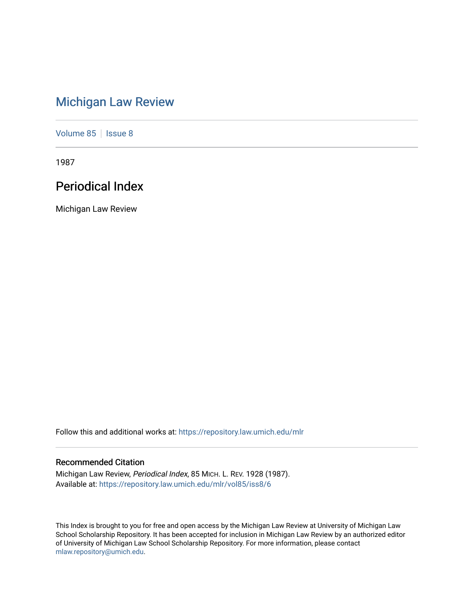# [Michigan Law Review](https://repository.law.umich.edu/mlr)

[Volume 85](https://repository.law.umich.edu/mlr/vol85) | [Issue 8](https://repository.law.umich.edu/mlr/vol85/iss8)

1987

# Periodical Index

Michigan Law Review

Follow this and additional works at: [https://repository.law.umich.edu/mlr](https://repository.law.umich.edu/mlr?utm_source=repository.law.umich.edu%2Fmlr%2Fvol85%2Fiss8%2F6&utm_medium=PDF&utm_campaign=PDFCoverPages) 

# Recommended Citation

Michigan Law Review, Periodical Index, 85 MICH. L. REV. 1928 (1987). Available at: [https://repository.law.umich.edu/mlr/vol85/iss8/6](https://repository.law.umich.edu/mlr/vol85/iss8/6?utm_source=repository.law.umich.edu%2Fmlr%2Fvol85%2Fiss8%2F6&utm_medium=PDF&utm_campaign=PDFCoverPages)

This Index is brought to you for free and open access by the Michigan Law Review at University of Michigan Law School Scholarship Repository. It has been accepted for inclusion in Michigan Law Review by an authorized editor of University of Michigan Law School Scholarship Repository. For more information, please contact [mlaw.repository@umich.edu.](mailto:mlaw.repository@umich.edu)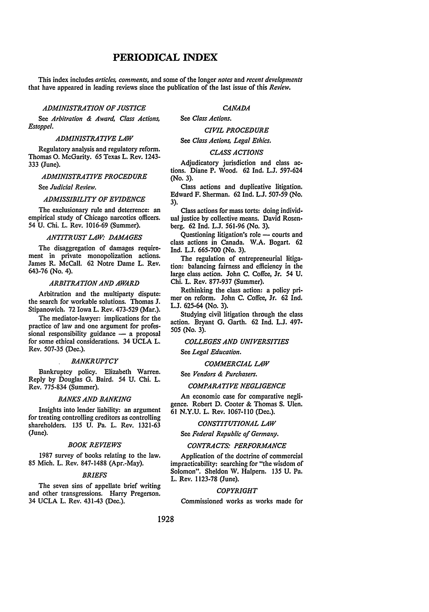# **PERIODICAL INDEX**

This index includes *articles, comments,* and some of the longer *notes* and *recent developme11ts*  that have appeared in leading reviews since the publication of the last issue of this *Review.* 

## *ADMINISTRATION OF JUSTICE*

See *Arbitration* & *Award, Class Actions, Estoppel.* 

## *ADMINISTRATIVE LAW*

Regulatory analysis and regulatory reform. Thomas 0. McGarity. 65 Texas L. Rev. 1243- 333 (June).

## *ADMINISTRATIVE PROCEDURE*

See *Judicial Review.* 

## *ADMISSIBILITY OF EVIDENCE*

The exclusionary rule and deterrence: an empirical study of Chicago narcotics officers. 54 U. Chi. L. Rev. 1016-69 (Summer).

## *ANTITRUST LAW: DAMAGES*

The disaggregation of damages requirement in private monopolization actions. James R. McCall. 62 Notre Dame L. Rev. 643-76 (No. 4).

## *ARBITRATION AND AWARD*

Arbitration and the multiparty dispute: the search for workable solutions. Thomas J. Stipanowich. 72 Iowa L. Rev. 473-529 (Mar.).

The mediator-lawyer: implications for the practice of law and one argument for professional responsibility guidance  $-$  a proposal for some ethical considerations. 34 UCLA L. Rev. 507-35 (Dec.).

## *BANKRUPTCY*

Bankruptcy policy. Elizabeth Warren. Reply by Douglas G. Baird. 54 U. Chi. L. Rev. 775-834 (Summer).

## *BANKS AND BANKING*

Insights into lender liability: an argument for treating controlling creditors as controlling shareholders. 135 U. Pa. L. Rev. 1321-63 (June).

#### *BOOK REVIEWS*

1987 survey of books relating to the law. 85 Mich. L. Rev. 847-1488 (Apr.-May).

## *BRIEFS*

The seven sins of appellate brief writing and other transgressions. Harry Pregerson. 34 UCLA L. Rev. 431-43 (Dec.).

## *CANADA*

See *Class Actions.* 

## *CIVIL PROCEDURE*

See *Class Actions, Legal Ethics.* 

## *CLASS ACTIONS*

Adjudicatory jurisdiction and class actions. Diane P. Wood. 62 Ind. L.J. 597-624 (No. 3).

Class actions and duplicative litigation. Edward F. Sherman. 62 Ind. L.J. 507-59 (No. 3).

Class actions for mass torts: doing individual justice by collective means. David Rosenberg. 62 Ind. L.J. 561-96 (No. 3).

Questioning litigation's role - courts and class actions in Canada. W.A. Bogart. 62 Ind. L.J. 665-700 (No. 3).

The regulation of entrepreneurial litigation: balancing fairness and efficiency in the large class action. John C. Coffee, Jr. 54 U. Chi. L. Rev. 877-937 (Summer).

Rethinking the class action: a policy primer on reform. John C. Coffee, Jr. 62 Ind. L.J. 625-64 (No. 3).

Studying civil litigation through the class action. Bryant G. Garth. 62 Ind. L.J. 497- *505* (No. 3).

## *COLLEGES AND UNIVERSITIES*

See *Legal Education.* 

## *COMMERCIAL LAW*

See *Vendors* & *Purchasers.* 

## *COMPARATIVE NEGLIGENCE*

An economic case for comparative negligence. Robert D. Cooter & Thomas S. Ulen. 61 N.Y.U. L. Rev. 1067-110 (Dec.).

#### *CONSTITUTIONAL LAW*

See Federal Republic of Germany.

## *CONTRACTS: PERFORMANCE*

Application of the doctrine of commercial impracticability: searching for "the wisdom of Solomon". Sheldon W. Halpern. 135 U. Pa. L. Rev. 1123-78 (June).

## *COPYRIGHT*

Commissioned works as works made for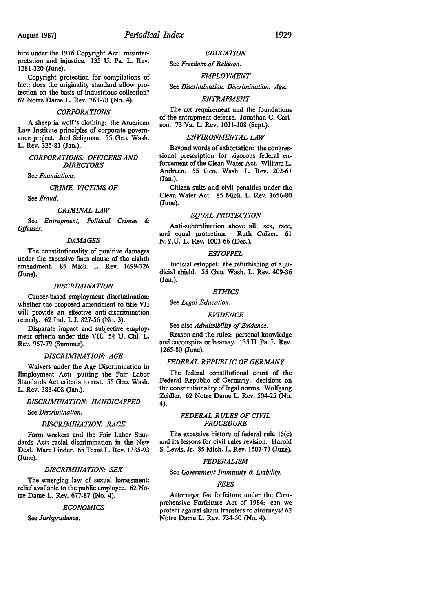hire under the 1976 Copyright Act: misinterpretation and injustice. 135 U. Pa. L. Rev. 1281-320 (June).

Copyright protection for compilations of fact: does the originality standard allow protection on the basis of industrious collection? 62 Notre Dame L. Rev. 763-78 (No. 4).

#### *CORPORATIONS*

A sheep in wolf's clothing: the American Law Institute principles of corporate governance project. Joel Seligman. 55 Geo. Wash. L. Rev. 325-81 (Jan.).

## *CORPORATIONS: OFFICERS AND DIRECTORS*

See *Foundations.* 

## *CRIME, VICTIMS OF*

See *Fraud.* 

## *CRIMINAL LAW*

See *Entrapment, Political Crimes* & *Offenses.* 

## *DAMAGES*

The constitutionality of punitive damages under the excessive fines clause of the eighth amendment. 85 Mich. L. Rev. 1699-726 (June).

## *DISCRIMINATION*

Cancer-based employment discrimination: whether the proposed amendment to title VII will provide an effective anti-discrimination remedy. 62 Ind. L.J. 827-56 (No. 3).

Disparate impact and subjective employment criteria under title VII. 54 U. Chi. L. Rev. 957-79 (Summer).

## *DISCRIMINATION: AGE*

Waivers under the Age Discrimination in Employment Act: putting the Fair Labor Standards Act criteria to rest. 55 Geo. Wash. L. Rev. 383-408 (Jan.).

## *DISCRIMINATION: HANDICAPPED*

See *Discrimination.* 

#### *DISCRIMINATION: RACE*

Farm workers and the Fair Labor Standards Act: racial discrimination in the New Deal. Marc Linder. 65 Texas L. Rev. 1335-93 (June).

#### *DISCRIMINATION: SEX*

The emerging law of sexual harassment: relief available to the public employee. 62 Notre Dame L. Rev. 677-87 (No. 4).

## *ECONOMICS*

See *Jurisprudence.* 

## *EDUCATION*

See *Freedom of Religion.* 

## *EMPLOYMENT*

See *Discrimination, Discrimination: Age.* 

## *ENTRAPMENT*

The act requirement and the foundations of the entrapment defense. Jonathan C. Carlson. 73 Va. L. Rev. 1011-108 (Sept.).

#### *ENVIRONMENTAL LAW*

Beyond words of exhortation: the congressional prescription for vigorous federal enforcement of the Clean Water Act. William L. Andreen. 55 Geo. Wash. L. Rev. 202-61 (Jan.).

Citizen suits and civil penalties under the Clean Water Act. 85 Mich. L. Rev. 1656-80 (June).

## *EQUAL PROTECTION*

Anti-subordination above all: sex, race, and equal protection. Ruth Colker. 61 N.Y.U. L. Rev. 1003-66 (Dec.).

#### *ESTOPPEL*

Judicial estoppel: the refurbishing of a judicial shield. 55 Geo. Wash. L. Rev. 409-36 (Jan.).

#### *ETHICS*

See *Legal Education.* 

## *EVIDENCE*

See also *Admissibility of Evidence.* 

Reason and the rules: personal knowledge and coconspirator hearsay. 135 U. Pa. L. Rev. 1265-80 (June).

## *FEDERAL REPUBLIC OF GERMANY*

The federal constitutional court of the Federal Republic of Germany: decisions on the constitutionality of legal norms. Wolfgang Zeidler. 62 Notre Dame L. Rev. 504-25 (No. 4).

## *FEDERAL RULES OF CIVIL PROCEDURE*

The excessive history of federal rule 15(c) and its lessons for civil rules revision. Harold S. Lewis, Jr. 85 Mich. L. Rev. 1507-73 (June).

## *FEDERALISM*

## See *Government Immunity* & *Liability.*

## *FEES*

Attorneys; fee forfeiture under the Comprehensive Forfeiture Act of 1984: can we protect against sham transfers to attorneys? 62 Notre Dame L. Rev. 734-50 (No. 4).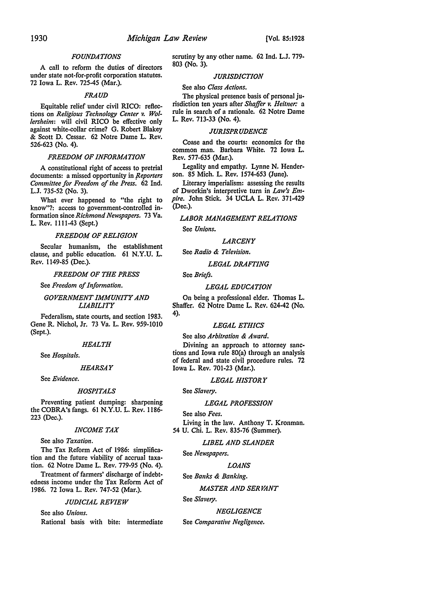## *FOUNDATIONS*

A call to reform the duties of directors under state not-for-profit corporation statutes. 72 Iowa L. Rev. 725-45 (Mar.).

## *FRAUD*

Equitable relief under civil RICO: reflections on *Religious Technology Center v. Wollersheim:* will civil RICO be effective only against white-collar crime? G. Robert Blakey & Scott D. Cessar. 62 Notre Dame L. Rev. 526-623 (No. 4).

## *FREEDOM OF INFORMATION*

A constitutional right of access to pretrial documents: a missed opportunity in *Reporters Committee for Freedom of the Press.* 62 Ind. L.J. 735-52 (No. 3).

What ever happened to "the right to know"?: access to government-controlled information since *Richmond Newspapers.* 73 Va. L. Rev. 1111-43 (Sept.)

## *FREEDOM OF RELIGION*

Secular humanism, the establishment clause, and public education. 61 N.Y.U. L. Rev. 1149-85 (Dec.).

## *FREEDOM OF THE PRESS*

See *Freedom of Information.* 

## *GOVERNMENT IMMUNITY AND LIABILITY*

Federalism, state courts, and section 1983. Gene R. Nichol, Jr. 73 Va. L. Rev. 959-1010 (Sept.).

## *HEALTH*

See *Hospitals.* 

#### *HEARSAY*

See *Evidence.* 

#### *HOSPITALS*

Preventing patient dumping: sharpening the COBRA's fangs. 61 N.Y.U. L. Rev. 1186- 223 (Dec.).

#### *INCOME TAX*

See also *Taxation.* 

The Tax Reform Act of 1986: simplification and the future viability of accrual taxation. 62 Notre Dame L. Rev. 779-95 (No. 4).

Treatment of farmers' discharge of indebtedness income under the Tax Reform Act of 1986. 72 Iowa L. Rev. 747-52 (Mar.).

## *JUDICIAL REVIEW*

See also *Unions.*  Rational basis with bite: intermediate scrutiny by any other name. 62 Ind. L.J. 779- 803 (No. 3).

## *JURISDICTION*

## See also *Class Actions.*

The physical presence basis of personal jurisdiction ten years after *Shaffer v. Heitner:* a rule in search of a rationale. 62 Notre Dame L. Rev. 713-33 (No. 4).

## *JURISPRUDENCE*

Coase and the courts: economics for the common man. Barbara White. 72 Iowa L. Rev. 577-635 (Mar.).

Legality and empathy. Lynne N. Henderson. 85 Mich. L. Rev. 1574-653 (June).

Literary imperialism: assessing the results of Dworkin's interpretive turn in *Law's Empire.* John Stick. 34 UCLA L. Rev. 371-429 (Dec.).

# *LABOR MANAGEMENT RELATIONS*

See *Unions.* 

## *LARCENY*

See *Radio* & *Television.* 

## *LEGAL DRAFTING*

See *Briefs.* 

## *LEGAL EDUCATION*

On being a professional elder. Thomas L. Shaffer. 62 Notre Dame L. Rev. 624-42 (No. 4).

## *LEGAL ETHICS*

See also *Arbitration* & *Award.* 

Divining an approach to attorney sanctions and Iowa rule 80(a) through an analysis of federal and state civil procedure rules. 72 Iowa L. Rev. 701-23 (Mar.).

#### *LEGAL HISTORY*

See *Slavery.* 

## *LEGAL PROFESSION*

See also *Fees.*  Living in the law. Anthony T. Kronman. 54 U. Chi. L. Rev. 835-76 (Summer).

## *LIBEL AND SLANDER*

See *Newspapers.* 

## *LOANS*

See *Banks* & *Banking.* 

#### *MASTER AND SERVANT*

See *Slavery.* 

# *NEGLIGENCE*

See *Comparative Negligence.*